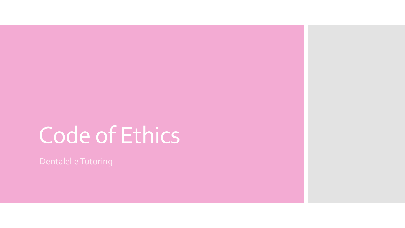# Code of Ethics

Dentalelle Tutoring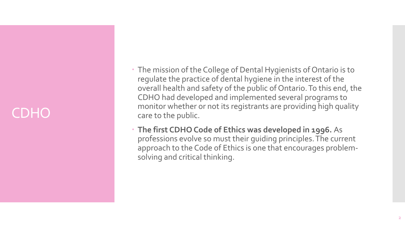#### CDHO

- The mission of the College of Dental Hygienists of Ontario is to regulate the practice of dental hygiene in the interest of the overall health and safety of the public of Ontario. To this end, the CDHO had developed and implemented several programs to monitor whether or not its registrants are providing high quality care to the public.
- **The first CDHO Code of Ethics was developed in 1996.** As professions evolve so must their guiding principles. The current approach to the Code of Ethics is one that encourages problemsolving and critical thinking.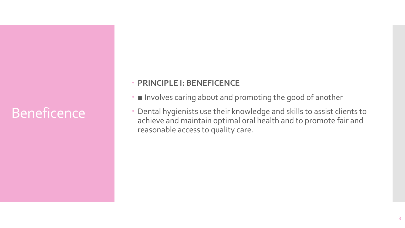### Beneficence

#### **PRINCIPLE I: BENEFICENCE**

- Involves caring about and promoting the good of another
- Dental hygienists use their knowledge and skills to assist clients to achieve and maintain optimal oral health and to promote fair and reasonable access to quality care.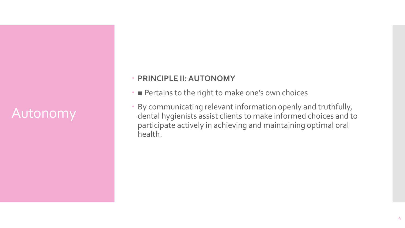#### Autonomy

#### **PRINCIPLE II: AUTONOMY**

- Pertains to the right to make one's own choices
- By communicating relevant information openly and truthfully, dental hygienists assist clients to make informed choices and to participate actively in achieving and maintaining optimal oral health.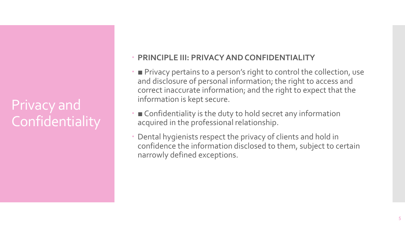### Privacy and **Confidentiality**

#### **PRINCIPLE III: PRIVACY AND CONFIDENTIALITY**

- Privacy pertains to a person's right to control the collection, use and disclosure of personal information; the right to access and correct inaccurate information; and the right to expect that the information is kept secure.
- Confidentiality is the duty to hold secret any information acquired in the professional relationship.
- Dental hygienists respect the privacy of clients and hold in confidence the information disclosed to them, subject to certain narrowly defined exceptions.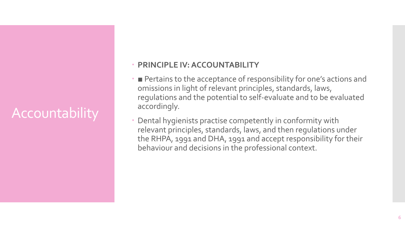### Accountability

#### **PRINCIPLE IV: ACCOUNTABILITY**

- Pertains to the acceptance of responsibility for one's actions and omissions in light of relevant principles, standards, laws, regulations and the potential to self-evaluate and to be evaluated accordingly.
- Dental hygienists practise competently in conformity with relevant principles, standards, laws, and then regulations under the RHPA, 1991 and DHA, 1991 and accept responsibility for their behaviour and decisions in the professional context.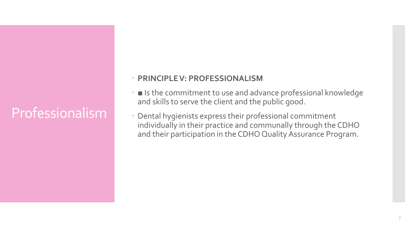### **Professionalism**

#### **PRINCIPLE V: PROFESSIONALISM**

- Is the commitment to use and advance professional knowledge and skills to serve the client and the public good.
- Dental hygienists express their professional commitment individually in their practice and communally through the CDHO and their participation in the CDHO Quality Assurance Program.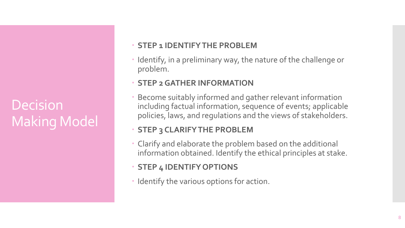**Decision** Making Model

#### **STEP 1 IDENTIFY THE PROBLEM**

• Identify, in a preliminary way, the nature of the challenge or problem.

#### **STEP 2 GATHER INFORMATION**

 Become suitably informed and gather relevant information including factual information, sequence of events; applicable policies, laws, and regulations and the views of stakeholders.

#### **STEP 3 CLARIFY THE PROBLEM**

 Clarify and elaborate the problem based on the additional information obtained. Identify the ethical principles at stake.

#### **STEP 4 IDENTIFY OPTIONS**

• Identify the various options for action.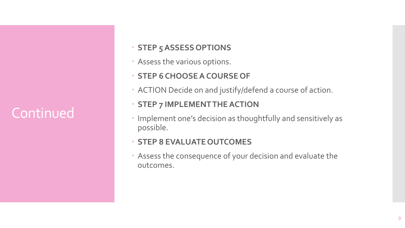### **Continued**

#### **STEP 5 ASSESS OPTIONS**

- Assess the various options.
- **STEP 6 CHOOSE A COURSE OF**
- ACTION Decide on and justify/defend a course of action.

#### **STEP 7 IMPLEMENT THE ACTION**

 Implement one's decision as thoughtfully and sensitively as possible.

#### **STEP 8 EVALUATE OUTCOMES**

 Assess the consequence of your decision and evaluate the outcomes.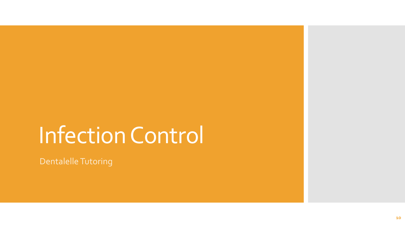## Infection Control

Dentalelle Tutoring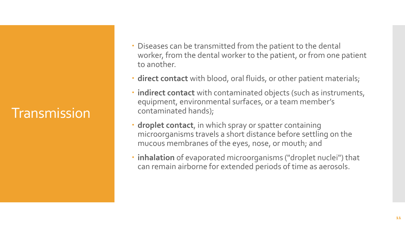#### **Transmission**

- Diseases can be transmitted from the patient to the dental worker, from the dental worker to the patient, or from one patient to another.
- **direct contact** with blood, oral fluids, or other patient materials;
- **indirect contact** with contaminated objects (such as instruments, equipment, environmental surfaces, or a team member's contaminated hands);
- **droplet contact**, in which spray or spatter containing microorganisms travels a short distance before settling on the mucous membranes of the eyes, nose, or mouth; and
- **inhalation** of evaporated microorganisms ("droplet nuclei") that can remain airborne for extended periods of time as aerosols.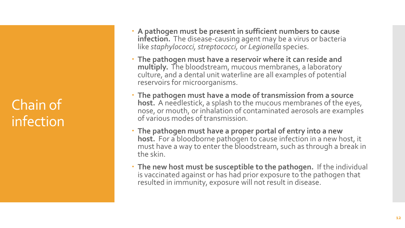Chain of infection

- **A pathogen must be present in sufficient numbers to cause infection.** The disease-causing agent may be a virus or bacteria like *staphylococci, streptococci,* or *Legionella* species.
- **The pathogen must have a reservoir where it can reside and multiply.** The bloodstream, mucous membranes, a laboratory culture, and a dental unit waterline are all examples of potential reservoirs for microorganisms.
- **The pathogen must have a mode of transmission from a source host.** A needlestick, a splash to the mucous membranes of the eyes, nose, or mouth, or inhalation of contaminated aerosols are examples of various modes of transmission.
- **The pathogen must have a proper portal of entry into a new host.** For a bloodborne pathogen to cause infection in a new host, it must have a way to enter the bloodstream, such as through a break in the skin.
- **The new host must be susceptible to the pathogen.** If the individual is vaccinated against or has had prior exposure to the pathogen that resulted in immunity, exposure will not result in disease.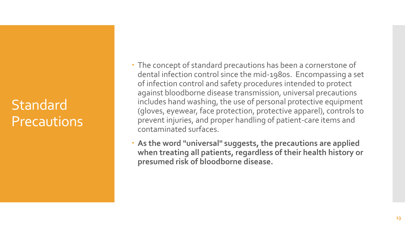#### Standard Precautions

 The concept of standard precautions has been a cornerstone of dental infection control since the mid-1980s. Encompassing a set of infection control and safety procedures intended to protect against bloodborne disease transmission, universal precautions includes hand washing, the use of personal protective equipment (gloves, eyewear, face protection, protective apparel), controls to prevent injuries, and proper handling of patient-care items and contaminated surfaces.

 **As the word "universal" suggests, the precautions are applied when treating all patients, regardless of their health history or presumed risk of bloodborne disease.**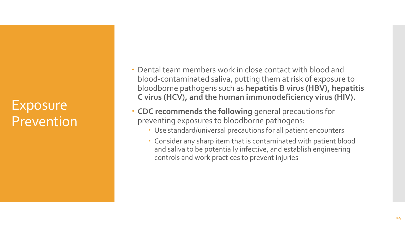#### Exposure Prevention

 Dental team members work in close contact with blood and blood-contaminated saliva, putting them at risk of exposure to bloodborne pathogens such as **hepatitis B virus (HBV), hepatitis C virus (HCV), and the human immunodeficiency virus (HIV).**

- **CDC recommends the following** general precautions for preventing exposures to bloodborne pathogens:
	- Use standard/universal precautions for all patient encounters
	- Consider any sharp item that is contaminated with patient blood and saliva to be potentially infective, and establish engineering controls and work practices to prevent injuries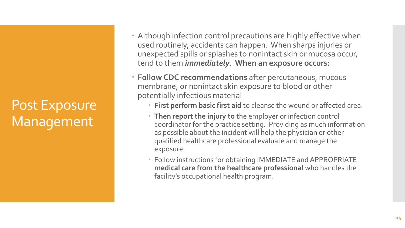Post Exposure Management

- Although infection control precautions are highly effective when used routinely, accidents can happen. When sharps injuries or unexpected spills or splashes to nonintact skin or mucosa occur, tend to them *immediately*. **When an exposure occurs:**
- **Follow CDC recommendations** after percutaneous, mucous membrane, or nonintact skin exposure to blood or other potentially infectious material
	- **First perform basic first aid** to cleanse the wound or affected area.
	- **Then report the injury to** the employer or infection control coordinator for the practice setting. Providing as much information as possible about the incident will help the physician or other qualified healthcare professional evaluate and manage the exposure.
	- Follow instructions for obtaining IMMEDIATE and APPROPRIATE **medical care from the healthcare professional** who handles the facility's occupational health program.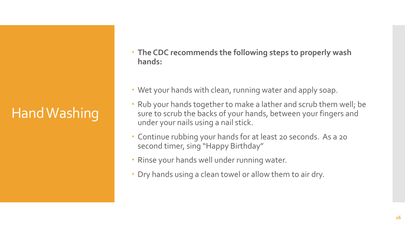### Hand Washing

- **The CDC recommends the following steps to properly wash hands:**
- Wet your hands with clean, running water and apply soap.
- Rub your hands together to make a lather and scrub them well; be sure to scrub the backs of your hands, between your fingers and under your nails using a nail stick.
- Continue rubbing your hands for at least 20 seconds. As a 20 second timer, sing "Happy Birthday"
- Rinse your hands well under running water.
- Dry hands using a clean towel or allow them to air dry.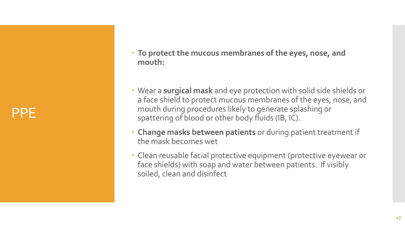PPE

- **To protect the mucous membranes of the eyes, nose, and mouth:**
- Wear a **surgical mask** and eye protection with solid side shields or a face shield to protect mucous membranes of the eyes, nose, and mouth during procedures likely to generate splashing or spattering of blood or other body fluids (IB, IC).
- **Change masks between patients** or during patient treatment if the mask becomes wet
- Clean reusable facial protective equipment (protective eyewear or face shields) with soap and water between patients. If visibly soiled, clean and disinfect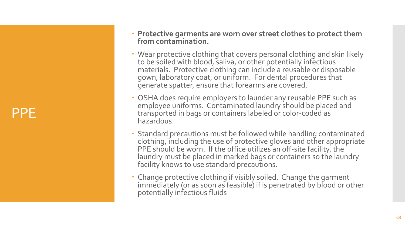PPE

- **Protective garments are worn over street clothes to protect them from contamination.**
- Wear protective clothing that covers personal clothing and skin likely to be soiled with blood, saliva, or other potentially infectious materials. Protective clothing can include a reusable or disposable gown, laboratory coat, or uniform. For dental procedures that generate spatter, ensure that forearms are covered.
- OSHA does require employers to launder any reusable PPE such as employee uniforms. Contaminated laundry should be placed and transported in bags or containers labeled or color -coded as hazardous.
- Standard precautions must be followed while handling contaminated clothing, including the use of protective gloves and other appropriate PPE should be worn. If the office utilizes an off-site facility, the laundry must be placed in marked bags or containers so the laundry facility knows to use standard precautions.
- Change protective clothing if visibly soiled. Change the garment immediately (or as soon as feasible) if is penetrated by blood or other potentially infectious fluids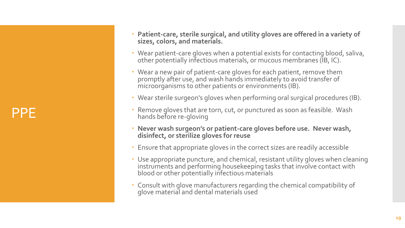PPE

- **· Patient-care, sterile surgical, and utility gloves are offered in a variety of sizes, colors, and materials.**
- Wear patient -care gloves when a potential exists for contacting blood, saliva, other potentially infectious materials, or mucous membranes (IB, IC).
- Wear a new pair of patient-care gloves for each patient, remove them promptly after use, and wash hands immediately to avoid transfer of microorganisms to other patients or environments (IB).
- Wear sterile surgeon's gloves when performing oral surgical procedures (IB).
- Remove gloves that are torn, cut, or punctured as soon as feasible. Wash hands before re -gloving
- **Never wash surgeon's or patient -care gloves before use. Never wash, disinfect, or sterilize gloves for reuse**
- Ensure that appropriate gloves in the correct sizes are readily accessible
- Use appropriate puncture, and chemical, resistant utility gloves when cleaning instruments and performing housekeeping tasks that involve contact with blood or other potentially infectious materials
- Consult with glove manufacturers regarding the chemical compatibility of glove material and dental materials used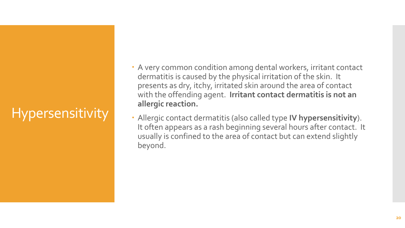### **Hypersensitivity**

- A very common condition among dental workers, irritant contact dermatitis is caused by the physical irritation of the skin. It presents as dry, itchy, irritated skin around the area of contact with the offending agent. **Irritant contact dermatitis is not an allergic reaction.**
- Allergic contact dermatitis (also called type **IV hypersensitivity**). It often appears as a rash beginning several hours after contact. It usually is confined to the area of contact but can extend slightly beyond.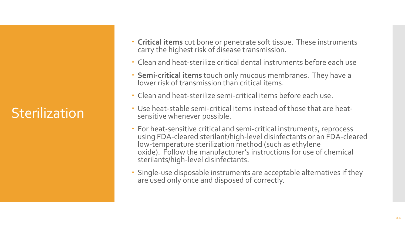### **Sterilization**

- **Critical items** cut bone or penetrate soft tissue. These instruments carry the highest risk of disease transmission.
- Clean and heat-sterilize critical dental instruments before each use
- **Semi-critical items** touch only mucous membranes. They have a lower risk of transmission than critical items.
- Clean and heat-sterilize semi-critical items before each use.
- Use heat-stable semi-critical items instead of those that are heatsensitive whenever possible.
- For heat-sensitive critical and semi-critical instruments, reprocess using FDA-cleared sterilant/high-level disinfectants or an FDA-cleared low-temperature sterilization method (such as ethylene oxide). Follow the manufacturer's instructions for use of chemical sterilants/high-level disinfectants.
- Single-use disposable instruments are acceptable alternatives if they are used only once and disposed of correctly.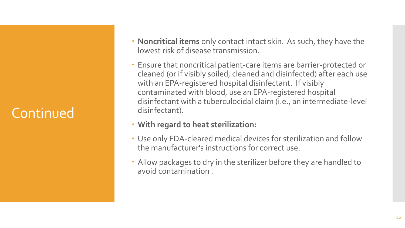### **Continued**

- **Noncritical items** only contact intact skin. As such, they have the lowest risk of disease transmission.
- Ensure that noncritical patient-care items are barrier-protected or cleaned (or if visibly soiled, cleaned and disinfected) after each use with an EPA-registered hospital disinfectant. If visibly contaminated with blood, use an EPA-registered hospital disinfectant with a tuberculocidal claim (i.e., an intermediate-level disinfectant).
- **With regard to heat sterilization:**
- Use only FDA-cleared medical devices for sterilization and follow the manufacturer's instructions for correct use.
- Allow packages to dry in the sterilizer before they are handled to avoid contamination .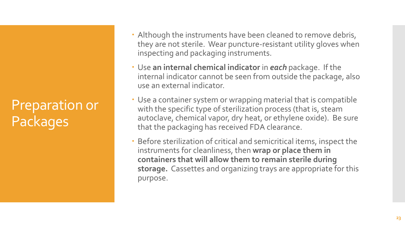Preparation or Packages

- Although the instruments have been cleaned to remove debris, they are not sterile. Wear puncture-resistant utility gloves when inspecting and packaging instruments.
- Use **an internal chemical indicator** in *each* package. If the internal indicator cannot be seen from outside the package, also use an external indicator.
- Use a container system or wrapping material that is compatible with the specific type of sterilization process (that is, steam autoclave, chemical vapor, dry heat, or ethylene oxide). Be sure that the packaging has received FDA clearance.
- Before sterilization of critical and semicritical items, inspect the instruments for cleanliness, then **wrap or place them in containers that will allow them to remain sterile during storage.** Cassettes and organizing trays are appropriate for this purpose.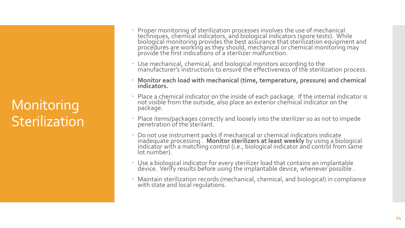#### **Monitoring Sterilization**

- Proper monitoring of sterilization processes involves the use of mechanical techniques, chemical indicators, and biological indicators (spore tests). While biological monitoring provides the best assurance that sterilization equipment and procedures are working as they should, mechanical or chemical monitoring may provide the first indications of a sterilizer malfunction.
- Use mechanical, chemical, and biological monitors according to the manufacturer's instructions to ensure the effectiveness of the sterilization process.
- **Monitor each load with mechanical (time, temperature, pressure) and chemical indicators.**
- Place a chemical indicator on the inside of each package. If the internal indicator is not visible from the outside, also place an exterior chemical indicator on the package.
- Place items/packages correctly and loosely into the sterilizer so as not to impede penetration of the sterilant.
- Do not use instrument packs if mechanical or chemical indicators indicate inadequate processing . **Monitor sterilizers at least weekly** by using a biological indicator with a matching control (i.e., biological indicator and control from same lot number).
- Use a biological indicator for every sterilizer load that contains an implantable device. Verify results before using the implantable device, whenever possible .
- Maintain sterilization records (mechanical, chemical, and biological) in compliance with state and local regulations.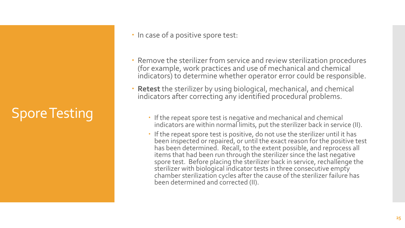### Spore Testing

- In case of a positive spore test:
- Remove the sterilizer from service and review sterilization procedures (for example, work practices and use of mechanical and chemical indicators) to determine whether operator error could be responsible.
- **Retest** the sterilizer by using biological, mechanical, and chemical indicators after correcting any identified procedural problems.
	- If the repeat spore test is negative and mechanical and chemical indicators are within normal limits, put the sterilizer back in service (II).
	- If the repeat spore test is positive, do not use the sterilizer until it has been inspected or repaired, or until the exact reason for the positive test has been determined. Recall, to the extent possible, and reprocess all items that had been run through the sterilizer since the last negative spore test. Before placing the sterilizer back in service, rechallenge the sterilizer with biological indicator tests in three consecutive empty chamber sterilization cycles after the cause of the sterilizer failure has been determined and corrected (II).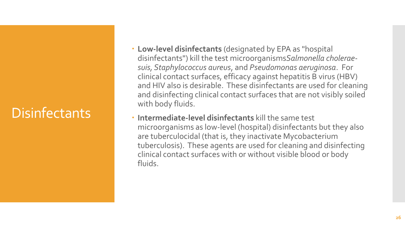### **Disinfectants**

- **Low-level disinfectants** (designated by EPA as "hospital disinfectants") kill the test microorganisms*Salmonella choleraesuis, Staphylococcus aureus*, and *Pseudomonas aeruginosa*. For clinical contact surfaces, efficacy against hepatitis B virus (HBV) and HIV also is desirable. These disinfectants are used for cleaning and disinfecting clinical contact surfaces that are not visibly soiled with body fluids.
- **Intermediate-level disinfectants** kill the same test microorganisms as low-level (hospital) disinfectants but they also are tuberculocidal (that is, they inactivate Mycobacterium tuberculosis). These agents are used for cleaning and disinfecting clinical contact surfaces with or without visible blood or body fluids.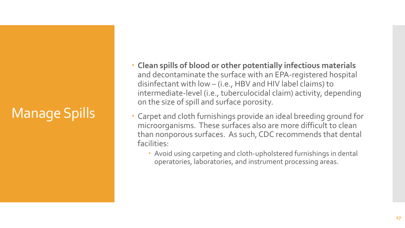### Manage Spills

- **Clean spills of blood or other potentially infectious materials**  and decontaminate the surface with an EPA-registered hospital disinfectant with low – (i.e., HBV and HIV label claims) to intermediate-level (i.e., tuberculocidal claim) activity, depending on the size of spill and surface porosity.
- Carpet and cloth furnishings provide an ideal breeding ground for microorganisms. These surfaces also are more difficult to clean than nonporous surfaces. As such, CDC recommends that dental facilities:
	- Avoid using carpeting and cloth-upholstered furnishings in dental operatories, laboratories, and instrument processing areas.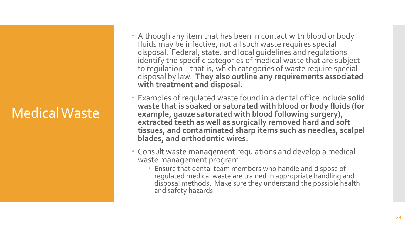#### Medical Waste

- Although any item that has been in contact with blood or body fluids may be infective, not all such waste requires special disposal. Federal, state, and local guidelines and regulations identify the specific categories of medical waste that are subject to regulation – that is, which categories of waste require special disposal by law. **They also outline any requirements associated with treatment and disposal.**
- Examples of regulated waste found in a dental office include **solid waste that is soaked or saturated with blood or body fluids (for example, gauze saturated with blood following surgery), extracted teeth as well as surgically removed hard and soft tissues, and contaminated sharp items such as needles, scalpel blades, and orthodontic wires.**
- Consult waste management regulations and develop a medical waste management program
	- Ensure that dental team members who handle and dispose of regulated medical waste are trained in appropriate handling and disposal methods. Make sure they understand the possible health and safety hazards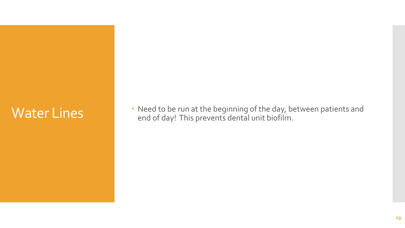Water Lines<br>
Need to be run at the beginning of the day, between patients and<br>
end of day! This prevents dental unit biofilm.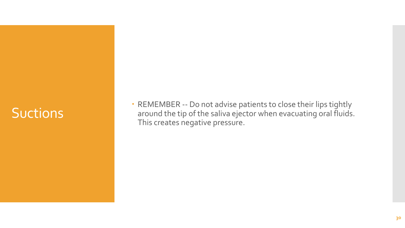#### **Suctions**

 REMEMBER -- Do not advise patients to close their lips tightly around the tip of the saliva ejector when evacuating oral fluids. This creates negative pressure.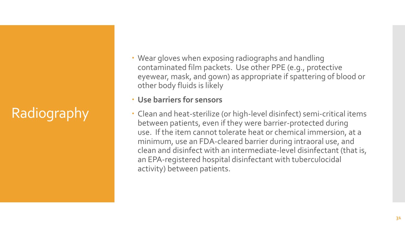## Radiography

 Wear gloves when exposing radiographs and handling contaminated film packets. Use other PPE (e.g., protective eyewear, mask, and gown) as appropriate if spattering of blood or other body fluids is likely

#### **Use barriers for sensors**

 Clean and heat-sterilize (or high-level disinfect) semi-critical items between patients, even if they were barrier-protected during use. If the item cannot tolerate heat or chemical immersion, at a minimum, use an FDA-cleared barrier during intraoral use, and clean and disinfect with an intermediate-level disinfectant (that is, an EPA-registered hospital disinfectant with tuberculocidal activity) between patients.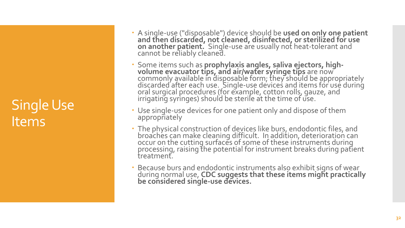#### Single Use Items

- A single -use ("disposable") device should be **used on only one patient and then discarded, not cleaned, disinfected, or sterilized for use on another patient.** Single -use are usually not heat -tolerant and cannot be reliably cleaned.
- Some items such as **prophylaxis angles, saliva ejectors, high volume evacuator tips, and air/water syringe tips** are now commonly available in disposable form; they should be appropriately discarded after each use. Single -use devices and items for use during oral surgical procedures (for example, cotton rolls, gauze, and irrigating syringes) should be sterile at the time of use.
- Use single -use devices for one patient only and dispose of them appropriately
- The physical construction of devices like burs, endodontic files, and broachés can make cleaning difficult. In addition, deterioration can occur on the cutting surfaces of some of these instruments during processing, raising the potential for instrument breaks during patient treatment.
- Because burs and endodontic instruments also exhibit signs of wear during normal use, **CDC suggests that these items might practically be considered single -use devices.**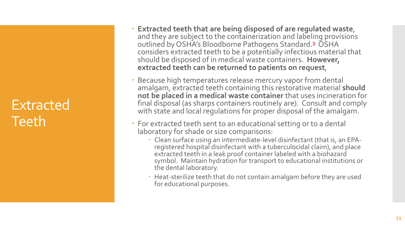#### Extracted Teeth

- **Extracted teeth that are being disposed of are regulated waste**, and they are subject to the containerization and labeling provisions outlined by OSHA's Bloodborne Pathogens Standard.<sup>[9](http://www.dentalcare.com/en-US/dental-education/continuing-education/ce90/ce90.aspx?ModuleName=additionalreference&PartID=-1&SectionID=-1#9)</sup> OSHA considers extracted teeth to be a potentially infectious material that should be disposed of in medical waste containers. **However, extracted teeth can be returned to patients on request** ,
- Because high temperatures release mercury vapor from dental amalgam, extracted teeth containing this restorative material **should not be placed in a medical waste container** that uses incineration for final disposal (as sharps containers routinely are). Consult and comply with state and local regulations for proper disposal of the amalgam.
- For extracted teeth sent to an educational setting or to a dental laboratory for shade or size comparisons:
	- Clean surface using an intermediate-level disinfectant (that is, an EPA registered hospital disinfectant with a tuberculocidal claim), and place extracted teeth in a leak proof container labeled with a biohazard symbol. Maintain hydration for transport to educational institutions or the dental laboratory.
	- Heat -sterilize teeth that do not contain amalgam before they are used for educational purposes.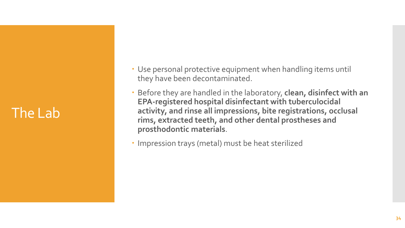#### The Lab

- Use personal protective equipment when handling items until they have been decontaminated.
- Before they are handled in the laboratory, **clean, disinfect with an EPA-registered hospital disinfectant with tuberculocidal activity, and rinse all impressions, bite registrations, occlusal rims, extracted teeth, and other dental prostheses and prosthodontic materials**.
- Impression trays (metal) must be heat sterilized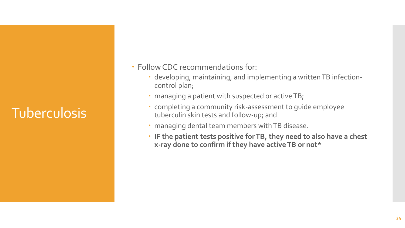### **Tuberculosis**

- Follow CDC recommendations for:
	- developing, maintaining, and implementing a written TB infectioncontrol plan;
	- managing a patient with suspected or active TB;
	- completing a community risk-assessment to guide employee tuberculin skin tests and follow-up; and
	- managing dental team members with TB disease.
	- **IF the patient tests positive for TB, they need to also have a chest x-ray done to confirm if they have active TB or not\***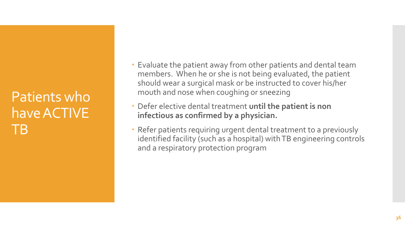#### Patients who have ACTIVE TB

- Evaluate the patient away from other patients and dental team members. When he or she is not being evaluated, the patient should wear a surgical mask or be instructed to cover his/her mouth and nose when coughing or sneezing
- Defer elective dental treatment **until the patient is non infectious as confirmed by a physician.**
- Refer patients requiring urgent dental treatment to a previously identified facility (such as a hospital) with TB engineering controls and a respiratory protection program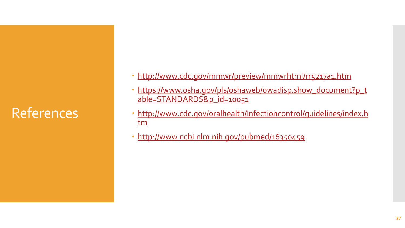#### References

- <http://www.cdc.gov/mmwr/preview/mmwrhtml/rr5217a1.htm>
- [https://www.osha.gov/pls/oshaweb/owadisp.show\\_document?p\\_t](https://www.osha.gov/pls/oshaweb/owadisp.show_document?p_table=STANDARDS&p_id=10051) able=STANDARDS&p\_id=10051
- [http://www.cdc.gov/oralhealth/Infectioncontrol/guidelines/index.h](http://www.cdc.gov/oralhealth/Infectioncontrol/guidelines/index.htm) tm
- <http://www.ncbi.nlm.nih.gov/pubmed/16350459>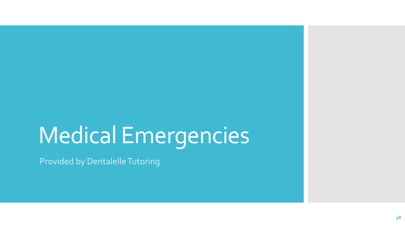### Medical Emergencies

Provided by Dentalelle Tutoring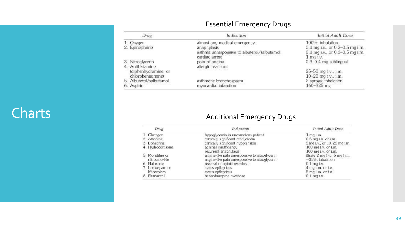#### Essential Emergency Drugs

| Drug |                                          | Indication                                                                                 | Initial Adult Dose                                                                     |
|------|------------------------------------------|--------------------------------------------------------------------------------------------|----------------------------------------------------------------------------------------|
|      | 1. Oxygen<br>2. Epinephrine              | almost any medical emergency<br>anaphylaxis<br>asthma unresponsive to albuterol/salbutamol | 100%: inhalation<br>0.1 mg i.v., or 0.3-0.5 mg i.m.<br>0.1 mg i.v., or 0.3-0.5 mg i.m. |
|      | 3. Nitroglycerin<br>4. Antihistamine     | cardiac arrest<br>pain of angina<br>allergic reactions                                     | $1$ mq i.v.<br>$0.3 - 0.4$ mg sublingual                                               |
|      | (diphenhydramine or<br>chlorpheniramine) |                                                                                            | 25-50 mg i.v., i.m.<br>10-20 mg i.v., i.m.                                             |
|      | 5. Albuterol/salbutamol<br>6. Aspirin    | asthmatic bronchospasm<br>myocardial infarction                                            | 2 sprays: inhalation<br>160-325 mg                                                     |

#### Charts **Charts Charts Additional Emergency Drugs**

| Drug |                                 | Indication                                                                                       | Initial Adult Dose                                      |
|------|---------------------------------|--------------------------------------------------------------------------------------------------|---------------------------------------------------------|
|      | 1. Glucagon                     | hypoglycemia in unconscious patient                                                              | $1$ mq i.m.                                             |
|      | 2. Atropine                     | clinically significant bradycardia                                                               | 0.5 mg i.v. or i.m.                                     |
|      | 3. Ephedrine                    | clinically significant hypotension                                                               | 5 mg i.v., or 10-25 mg i.m.                             |
|      | 4. Hydrocortisone               | adrenal insufficiency<br>recurrent anaphylaxis                                                   | $100$ mg i.v. or i.m.<br>100 mg i.v. or i.m.            |
|      | 5. Morphine or<br>nitrous oxide | angina-like pain unresponsive to nitroglycerin<br>angina-like pain unresponsive to nitroglycerin | titrate $2$ mg i.v., $5$ mg i.m.<br>$-35%$ , inhalation |
|      | 6. Naloxone                     | reversal of opioid overdose                                                                      | $0.1$ mg i.v.                                           |
|      | 7. Lorazepam or                 | status epilepticus                                                                               | $4$ mg i.m. or i.v.                                     |
|      | Midazolam                       | status epilepticus                                                                               | $5$ mg i.m. or i.v.                                     |
|      | 8. Flumazenil                   | benzodiazepine overdose                                                                          | $0.1$ mq i.v.                                           |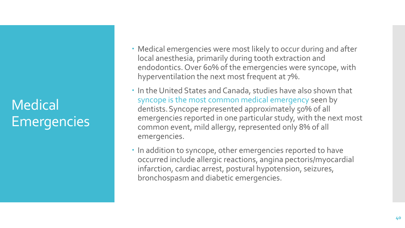#### Medical Emergencies

- Medical emergencies were most likely to occur during and after local anesthesia, primarily during tooth extraction and endodontics. Over 60% of the emergencies were syncope, with hyperventilation the next most frequent at 7%.
- In the United States and Canada, studies have also shown that syncope is the most common medical emergency seen by dentists.Syncope represented approximately 50% of all emergencies reported in one particular study, with the next most common event, mild allergy, represented only 8% of all emergencies.
- In addition to syncope, other emergencies reported to have occurred include allergic reactions, angina pectoris/myocardial infarction, cardiac arrest, postural hypotension, seizures, bronchospasm and diabetic emergencies.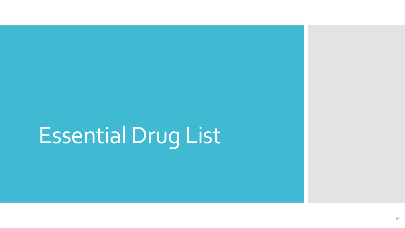## Essential Drug List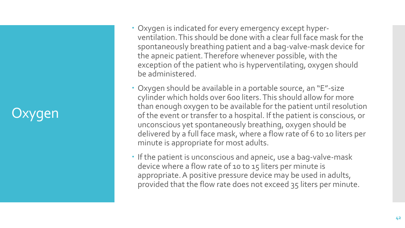#### Jxygen

- Oxygen is indicated for every emergency except hyperventilation. This should be done with a clear full face mask for the spontaneously breathing patient and a bag-valve-mask device for the apneic patient. Therefore whenever possible, with the exception of the patient who is hyperventilating, oxygen should be administered.
- Oxygen should be available in a portable source, an "E"-size cylinder which holds over 600 liters. This should allow for more than enough oxygen to be available for the patient until resolution of the event or transfer to a hospital. If the patient is conscious, or unconscious yet spontaneously breathing, oxygen should be delivered by a full face mask, where a flow rate of 6 to 10 liters per minute is appropriate for most adults.
- If the patient is unconscious and apneic, use a bag-valve-mask device where a flow rate of 10 to 15 liters per minute is appropriate. A positive pressure device may be used in adults, provided that the flow rate does not exceed 35 liters per minute.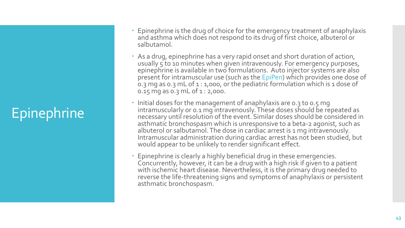### **Epinephrine**

- Epinephrine is the drug of choice for the emergency treatment of anaphylaxis and asthma which does not respond to its drug of first choice, albuterol or salbutamol.
- As a drug, epinephrine has a very rapid onset and short duration of action, usually 5 to 10 minutes when given intravenously. For emergency purposes, epinephrine is available in two formulations. Auto injector systems are also present for intramuscular use (such as the EpiPen) which provides one dose of 0.3 mg as 0.3 mL of 1 : 1,000, or the pediatric formulation which is 1 dose of 0.15 mg as 0.3 mL of 1 : 2,000.
- Initial doses for the management of anaphylaxis are 0.3 to 0.5 mg intramuscularly or 0.1 mg intravenously. These doses should be repeated as necessary until resolution of the event. Similar doses should be considered in asthmatic bronchospasm which is unresponsive to a beta-2 agonist, such as albuterol or salbutamol. The dose in cardiac arrest is 1 mg intravenously. Intramuscular administration during cardiac arrest has not been studied, but would appear to be unlikely to render significant effect.
- Epinephrine is clearly a highly beneficial drug in these emergencies. Concurrently, however, it can be a drug with a high risk if given to a patient with ischemic heart disease. Nevertheless, it is the primary drug needed to reverse the life-threatening signs and symptoms of anaphylaxis or persistent asthmatic bronchospasm.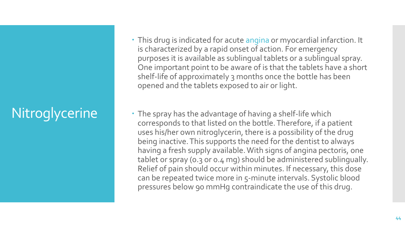### **Nitroglycerine**

- This drug is indicated for acute angina or myocardial infarction. It is characterized by a rapid onset of action. For emergency purposes it is available as sublingual tablets or a sublingual spray. One important point to be aware of is that the tablets have a short shelf-life of approximately 3 months once the bottle has been opened and the tablets exposed to air or light.
- The spray has the advantage of having a shelf-life which corresponds to that listed on the bottle. Therefore, if a patient uses his/her own nitroglycerin, there is a possibility of the drug being inactive. This supports the need for the dentist to always having a fresh supply available. With signs of angina pectoris, one tablet or spray (0.3 or 0.4 mg) should be administered sublingually. Relief of pain should occur within minutes. If necessary, this dose can be repeated twice more in 5-minute intervals. Systolic blood pressures below 90 mmHg contraindicate the use of this drug.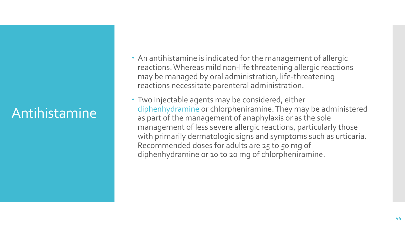#### Antihistamine

- An antihistamine is indicated for the management of allergic reactions. Whereas mild non-life threatening allergic reactions may be managed by oral administration, life-threatening reactions necessitate parenteral administration.
- Two injectable agents may be considered, either diphenhydramine or chlorpheniramine. They may be administered as part of the management of anaphylaxis or as the sole management of less severe allergic reactions, particularly those with primarily dermatologic signs and symptoms such as urticaria. Recommended doses for adults are 25 to 50 mg of diphenhydramine or 10 to 20 mg of chlorpheniramine.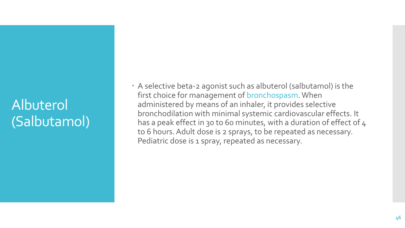#### Albuterol (Salbutamol)

 A selective beta-2 agonist such as albuterol (salbutamol) is the first choice for management of bronchospasm. When administered by means of an inhaler, it provides selective bronchodilation with minimal systemic cardiovascular effects. It has a peak effect in 30 to 60 minutes, with a duration of effect of 4 to 6 hours. Adult dose is 2 sprays, to be repeated as necessary. Pediatric dose is 1 spray, repeated as necessary.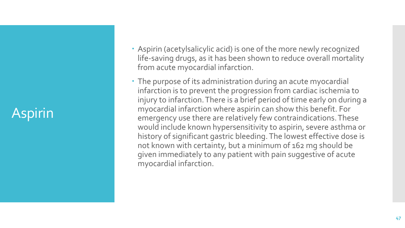#### Aspirin

- Aspirin (acetylsalicylic acid) is one of the more newly recognized life-saving drugs, as it has been shown to reduce overall mortality from acute myocardial infarction.
- The purpose of its administration during an acute myocardial infarction is to prevent the progression from cardiac ischemia to injury to infarction. There is a brief period of time early on during a myocardial infarction where aspirin can show this benefit. For emergency use there are relatively few contraindications. These would include known hypersensitivity to aspirin, severe asthma or history of significant gastric bleeding. The lowest effective dose is not known with certainty, but a minimum of 162 mg should be given immediately to any patient with pain suggestive of acute myocardial infarction.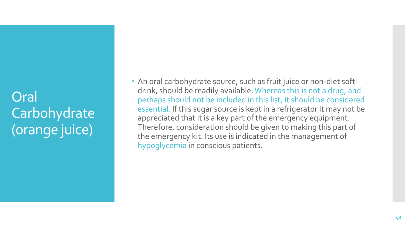Oral Carbohydrate (orange juice)

 An oral carbohydrate source, such as fruit juice or non-diet softdrink, should be readily available. Whereas this is not a drug, and perhaps should not be included in this list, it should be considered essential. If this sugar source is kept in a refrigerator it may not be appreciated that it is a key part of the emergency equipment. Therefore, consideration should be given to making this part of the emergency kit. Its use is indicated in the management of hypoglycemia in conscious patients.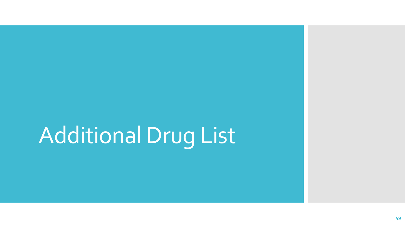# Additional Drug List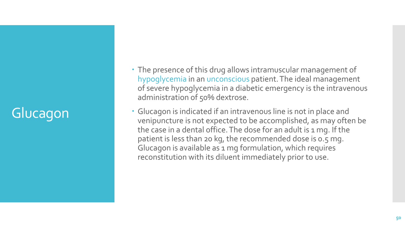### Glucagon

- The presence of this drug allows intramuscular management of hypoglycemia in an unconscious patient. The ideal management of severe hypoglycemia in a diabetic emergency is the intravenous administration of 50% dextrose.
- Glucagon is indicated if an intravenous line is not in place and venipuncture is not expected to be accomplished, as may often be the case in a dental office. The dose for an adult is 1 mg. If the patient is less than 20 kg, the recommended dose is 0.5 mg. Glucagon is available as 1 mg formulation, which requires reconstitution with its diluent immediately prior to use.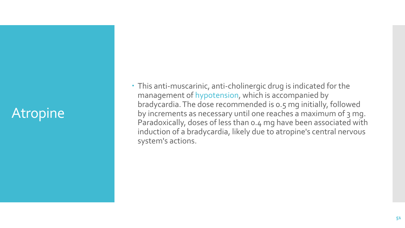#### **Atropine**

 This anti-muscarinic, anti-cholinergic drug is indicated for the management of hypotension, which is accompanied by bradycardia. The dose recommended is 0.5 mg initially, followed by increments as necessary until one reaches a maximum of 3 mg. Paradoxically, doses of less than 0.4 mg have been associated with induction of a bradycardia, likely due to atropine's central nervous system's actions.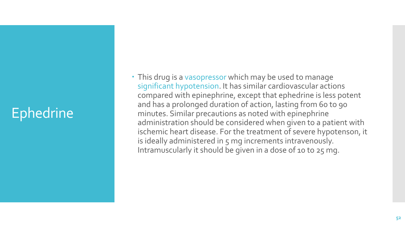#### Ephedrine

 This drug is a vasopressor which may be used to manage significant hypotension. It has similar cardiovascular actions compared with epinephrine, except that ephedrine is less potent and has a prolonged duration of action, lasting from 60 to 90 minutes. Similar precautions as noted with epinephrine administration should be considered when given to a patient with ischemic heart disease. For the treatment of severe hypotenson, it is ideally administered in 5 mg increments intravenously. Intramuscularly it should be given in a dose of 10 to 25 mg.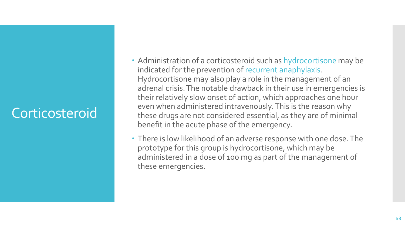#### Corticosteroid

- Administration of a corticosteroid such as hydrocortisone may be indicated for the prevention of recurrent anaphylaxis. Hydrocortisone may also play a role in the management of an adrenal crisis. The notable drawback in their use in emergencies is their relatively slow onset of action, which approaches one hour even when administered intravenously. This is the reason why these drugs are not considered essential, as they are of minimal benefit in the acute phase of the emergency.
- There is low likelihood of an adverse response with one dose. The prototype for this group is hydrocortisone, which may be administered in a dose of 100 mg as part of the management of these emergencies.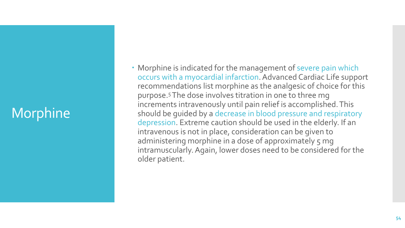#### Morphine

 Morphine is indicated for the management of severe pain which occurs with a myocardial infarction. Advanced Cardiac Life support recommendations list morphine as the analgesic of choice for this purpose.<sup>5</sup>The dose involves titration in one to three mg increments intravenously until pain relief is accomplished. This should be guided by a decrease in blood pressure and respiratory depression. Extreme caution should be used in the elderly. If an intravenous is not in place, consideration can be given to administering morphine in a dose of approximately 5 mg intramuscularly. Again, lower doses need to be considered for the older patient.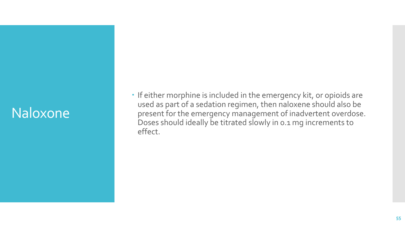#### Naloxone

• If either morphine is included in the emergency kit, or opioids are used as part of a sedation regimen, then naloxene should also be present for the emergency management of inadvertent overdose. Doses should ideally be titrated slowly in 0.1 mg increments to effect.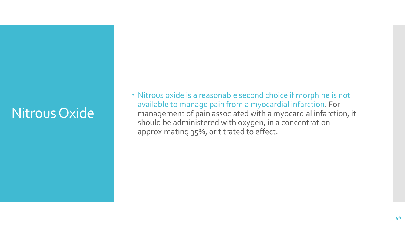#### Nitrous Oxide

 Nitrous oxide is a reasonable second choice if morphine is not available to manage pain from a myocardial infarction. For management of pain associated with a myocardial infarction, it should be administered with oxygen, in a concentration approximating 35%, or titrated to effect.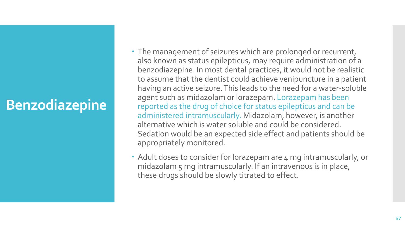#### **Benzodiazepine**

- The management of seizures which are prolonged or recurrent, also known as status epilepticus, may require administration of a benzodiazepine. In most dental practices, it would not be realistic to assume that the dentist could achieve venipuncture in a patient having an active seizure. This leads to the need for a water-soluble agent such as midazolam or lorazepam. Lorazepam has been reported as the drug of choice for status epilepticus and can be administered intramuscularly. Midazolam, however, is another alternative which is water soluble and could be considered. Sedation would be an expected side effect and patients should be appropriately monitored.
- Adult doses to consider for lorazepam are 4 mg intramuscularly, or midazolam 5 mg intramuscularly. If an intravenous is in place, these drugs should be slowly titrated to effect.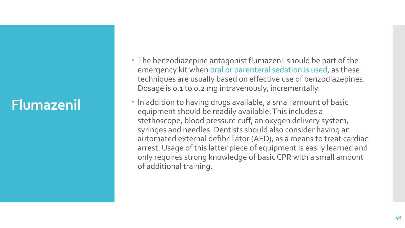#### **Flumazenil**

- The benzodiazepine antagonist flumazenil should be part of the emergency kit when oral or parenteral sedation is used, as these techniques are usually based on effective use of benzodiazepines. Dosage is 0.1 to 0.2 mg intravenously, incrementally.
- In addition to having drugs available, a small amount of basic equipment should be readily available. This includes a stethoscope, blood pressure cuff, an oxygen delivery system, syringes and needles. Dentists should also consider having an automated external defibrillator (AED), as a means to treat cardiac arrest. Usage of this latter piece of equipment is easily learned and only requires strong knowledge of basic CPR with a small amount of additional training.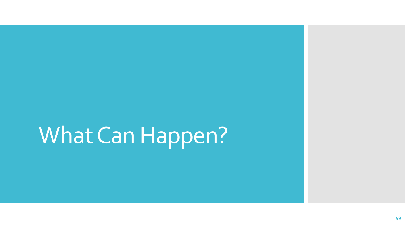### What Can Happen?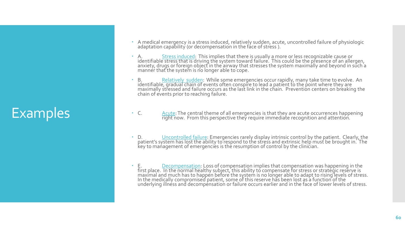#### Examples

- A medical emergency is a stress induced, relatively sudden, acute, uncontrolled failure of physiologic adaptation capability (or decompensation in the face of stress).
- A. Stress induced: This implies that there is usually a more or less recognizable cause or identifiable stress that is driving the system toward failure. This could be the presence of an allergen, anxiety, drugs or foreign object in the airway that stresses the system maximally and beyond in such a manner that the system is no longer able to cope.
- B. Relatively sudden: While some emergencies occur rapidly, many take time to evolve. An identifiable, gradual chain of events often conspire to lead a patient to the point where they are maximally stressed and failure occurs as the last link in the chain. Prevention centers on breaking the chain of events prior to reaching failure.
- C. Acute: The central theme of all emergencies is that they are acute occurrences happening right now. From this perspective they require immediate recognition and attention.
- D. Uncontrolled failure: Emergencies rarely display intrinsic control by the patient. Clearly, the patient's system has lost the ability to respond to the stres's and extrinsic help must be brought in. The key to management of emergencies is the resumption of control by the clinician.
- E. Decompensation: Loss of compensation implies that compensation was happening in the first place. In the normal healthy subject, this ability to compensate for stress or strategic reserve is maximal and much has to happen before the system is no longer able to adapt to rising levels of stress. In the medically compromised patient, some of this reserve has been lost as a function of the underlying illnéss and decompensation or failure occurs earlier and in the face of lower levels of stress.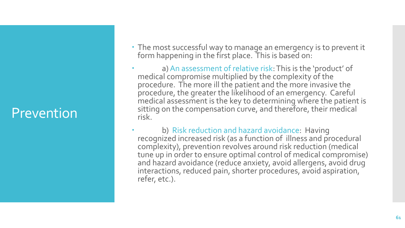#### Prevention

- The most successful way to manage an emergency is to prevent it form happening in the first place. This is based on:
- a) An assessment of relative risk: This is the 'product' of medical compromise multiplied by the complexity of the procedure. The more ill the patient and the more invasive the procedure, the greater the likelihood of an emergency. Careful medical assessment is the key to determining where the patient is sitting on the compensation curve, and therefore, their medical risk.
- b) Risk reduction and hazard avoidance: Having recognized increased risk (as a function of illness and procedural complexity), prevention revolves around risk reduction (medical tune up in order to ensure optimal control of medical compromise) and hazard avoidance (reduce anxiety, avoid allergens, avoid drug interactions, reduced pain, shorter procedures, avoid aspiration, refer, etc.).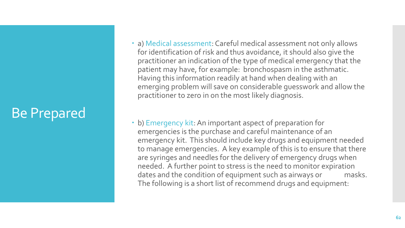#### Be Prepared

- a) Medical assessment: Careful medical assessment not only allows for identification of risk and thus avoidance, it should also give the practitioner an indication of the type of medical emergency that the patient may have, for example: bronchospasm in the asthmatic. Having this information readily at hand when dealing with an emerging problem will save on considerable guesswork and allow the practitioner to zero in on the most likely diagnosis.
- b) Emergency kit: An important aspect of preparation for emergencies is the purchase and careful maintenance of an emergency kit. This should include key drugs and equipment needed to manage emergencies. A key example of this is to ensure that there are syringes and needles for the delivery of emergency drugs when needed. A further point to stress is the need to monitor expiration dates and the condition of equipment such as airways or masks. The following is a short list of recommend drugs and equipment: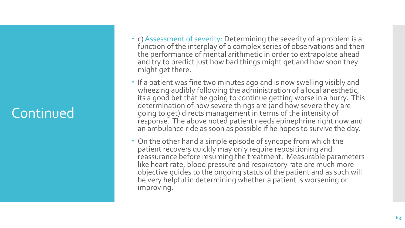#### Continued

- c) Assessment of severity: Determining the severity of a problem is a function of the interplay of a complex series of observations and then the performance of mental arithmetic in order to extrapolate ahead and try to predict just how bad things might get and how soon they might get there.
- If a patient was fine two minutes ago and is now swelling visibly and wheezing audibly following the administration of a local anesthetic, its a good bet that he going to continue getting worse in a hurry. This determination of how severe things are (and how severe they are going to get) directs management in terms of the intensity of response. The above noted patient needs epinephrine right now and an ambulance ride as soon as possible if he hopes to survive the day.
- On the other hand a simple episode of syncope from which the patient recovers quickly may only require repositioning and reassurance before resuming the treatment. Measurable parameters like heart rate, blood pressure and respiratory rate are much more objective guides to the ongoing status of the patient and as such will be very helpful in determining whether a patient is worsening or improving.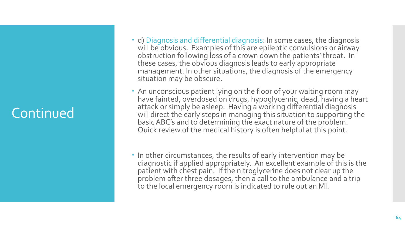#### Continued

- d) Diagnosis and differential diagnosis: In some cases, the diagnosis will be obvious. Examples of this are epileptic convulsions or airway obstruction following loss of a crown down the patients' throat. In these cases, the obvious diagnosis leads to early appropriate management. In other situations, the diagnosis of the emergency situation may be obscure.
- An unconscious patient lying on the floor of your waiting room may have fainted, overdosed on drugs, hypoglycemic, dead, having a heart attack or simply be asleep. Having a working differential diagnosis will direct the early steps in managing this situation to supporting the basic ABC's and to determining the exact nature of the problem. Quick review of the medical history is often helpful at this point.
- In other circumstances, the results of early intervention may be diagnostic if applied appropriately. An excellent example of this is the patient with chest pain. If the nitroglycerine does not clear up the problem after three dosages, then a call to the ambulance and a trip to the local emergency room is indicated to rule out an MI.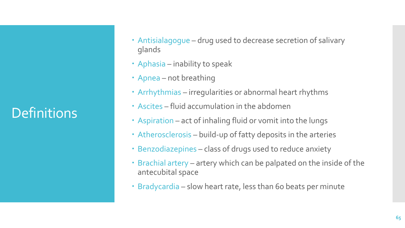#### **Definitions**

- Antisialagogue drug used to decrease secretion of salivary glands
- Aphasia inability to speak
- Apnea not breathing
- Arrhythmias irregularities or abnormal heart rhythms
- Ascites fluid accumulation in the abdomen
- Aspiration act of inhaling fluid or vomit into the lungs
- Atherosclerosis build-up of fatty deposits in the arteries
- Benzodiazepines class of drugs used to reduce anxiety
- Brachial artery artery which can be palpated on the inside of the antecubital space
- Bradycardia slow heart rate, less than 60 beats per minute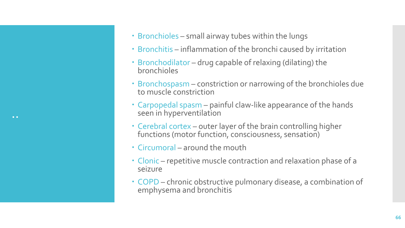

- Bronchitis inflammation of the bronchi caused by irritation
- Bronchodilator drug capable of relaxing (dilating) the bronchioles
- Bronchospasm constriction or narrowing of the bronchioles due to muscle constriction
- Carpopedal spasm painful claw-like appearance of the hands seen in hyperventilation
- Cerebral cortex outer layer of the brain controlling higher functions (motor function, consciousness, sensation)
- Circumoral around the mouth
- Clonic repetitive muscle contraction and relaxation phase of a seizure
- COPD chronic obstructive pulmonary disease, a combination of emphysema and bronchitis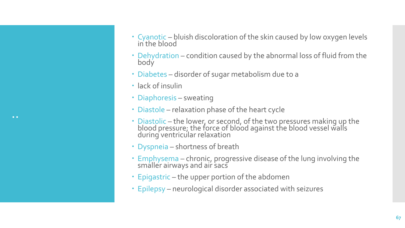- Cyanotic bluish discoloration of the skin caused by low oxygen levels in the blood
- Dehydration condition caused by the abnormal loss of fluid from the body
- Diabetes disorder of sugar metabolism due to a
- lack of insulin
- Diaphoresis sweating
- Diastole relaxation phase of the heart cycle
- Diastolic the lower, or second, of the two pressures making up the blood pressure; the force of blood against the blood vessel walls during ventricular relaxation
- Dyspneia shortness of breath
- Emphysema chronic, progressive disease of the lung involving the smaller airways and air sacs
- Epigastric the upper portion of the abdomen
- Epilepsy neurological disorder associated with seizures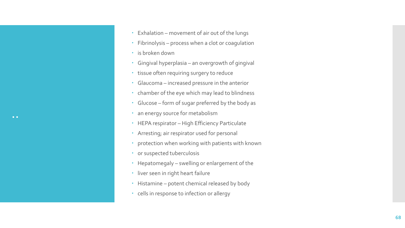- Exhalation movement of air out of the lungs
- Fibrinolysis process when a clot or coagulation
- **·** is broken down
- Gingival hyperplasia an overgrowth of gingival
- tissue often requiring surgery to reduce
- Glaucoma increased pressure in the anterior
- chamber of the eye which may lead to blindness
- Glucose form of sugar preferred by the body as
- an energy source for metabolism
- HEPA respirator High Efficiency Particulate
- Arresting; air respirator used for personal
- protection when working with patients with known
- or suspected tuberculosis
- Hepatomegaly swelling or enlargement of the
- liver seen in right heart failure
- Histamine potent chemical released by body
- cells in response to infection or allergy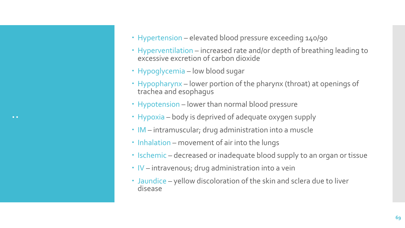- Hypertension elevated blood pressure exceeding 140/90
- Hyperventilation increased rate and/or depth of breathing leading to excessive excretion of carbon dioxide
- Hypoglycemia low blood sugar
- Hypopharynx lower portion of the pharynx (throat) at openings of trachea and esophagus
- Hypotension lower than normal blood pressure
- Hypoxia body is deprived of adequate oxygen supply
- IM intramuscular; drug administration into a muscle
- $\cdot$  Inhalation movement of air into the lungs
- Ischemic decreased or inadequate blood supply to an organ or tissue
- $\cdot$  IV intravenous; drug administration into a vein
- Jaundice yellow discoloration of the skin and sclera due to liver disease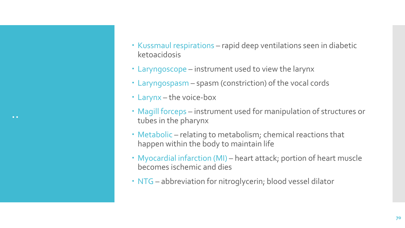- Kussmaul respirations rapid deep ventilations seen in diabetic ketoacidosis
- Laryngoscope instrument used to view the larynx
- Laryngospasm spasm (constriction) of the vocal cords
- Larynx the voice-box
- Magill forceps instrument used for manipulation of structures or tubes in the pharynx
- Metabolic relating to metabolism; chemical reactions that happen within the body to maintain life
- Myocardial infarction (MI) heart attack; portion of heart muscle becomes ischemic and dies
- NTG abbreviation for nitroglycerin; blood vessel dilator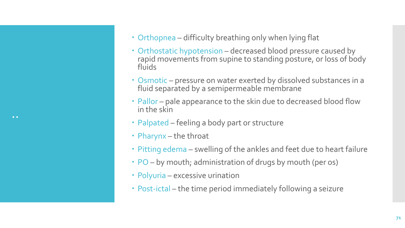- Orthopnea difficulty breathing only when lying flat
- Orthostatic hypotension decreased blood pressure caused by rapid movements from supine to standing posture, or loss of body fluids
- Osmotic pressure on water exerted by dissolved substances in a fluid separated by a semipermeable membrane
- Pallor pale appearance to the skin due to decreased blood flow in the skin
- Palpated feeling a body part or structure
- Pharynx the throat
- Pitting edema swelling of the ankles and feet due to heart failure
- PO by mouth; administration of drugs by mouth (per os)
- Polyuria excessive urination
- Post-ictal the time period immediately following a seizure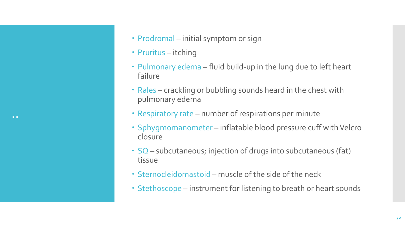..

- Prodromal initial symptom or sign
- Pruritus itching
- Pulmonary edema fluid build-up in the lung due to left heart failure
- Rales crackling or bubbling sounds heard in the chest with pulmonary edema
- Respiratory rate number of respirations per minute
- Sphygmomanometer inflatable blood pressure cuff with Velcro closure
- SQ subcutaneous; injection of drugs into subcutaneous (fat) tissue
- Sternocleidomastoid muscle of the side of the neck
- Stethoscope instrument for listening to breath or heart sounds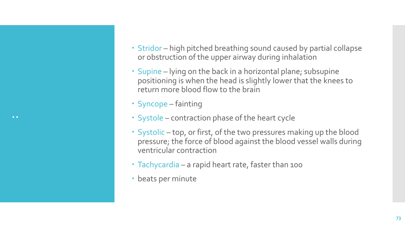- Stridor high pitched breathing sound caused by partial collapse or obstruction of the upper airway during inhalation
- Supine lying on the back in a horizontal plane; subsupine positioning is when the head is slightly lower that the knees to return more blood flow to the brain
- Syncope fainting
- Systole contraction phase of the heart cycle
- Systolic top, or first, of the two pressures making up the blood pressure; the force of blood against the blood vessel walls during ventricular contraction
- Tachycardia a rapid heart rate, faster than 100
- beats per minute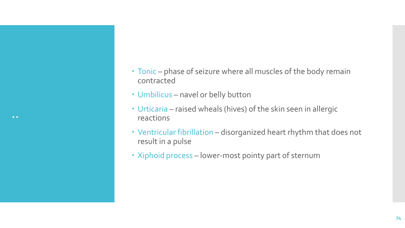- Tonic phase of seizure where all muscles of the body remain contracted
- Umbilicus navel or belly button
- Urticaria raised wheals (hives) of the skin seen in allergic reactions
- Ventricular fibrillation disorganized heart rhythm that does not result in a pulse
- Xiphoid process lower-most pointy part of sternum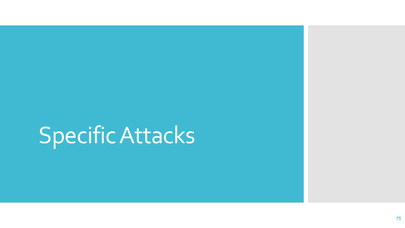# Specific Attacks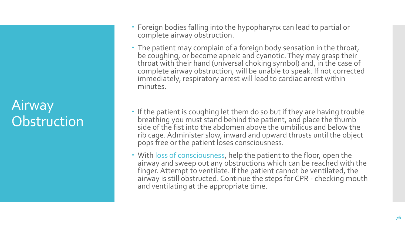### Airway **Obstruction**

- Foreign bodies falling into the hypopharynx can lead to partial or complete airway obstruction.
- The patient may complain of a foreign body sensation in the throat, be coughing, or become apneic and cyanotic. They may grasp their throat with their hand (universal choking symbol) and, in the case of complete airway obstruction, will be unable to speak. If not corrected immediately, respiratory arrest will lead to cardiac arrest within minutes.
- If the patient is coughing let them do so but if they are having trouble breathing you must stand behind the patient, and place the thumb side of the fist into the abdomen above the umbilicus and below the rib cage. Administer slow, inward and upward thrusts until the object pops free or the patient loses consciousness.
- With loss of consciousness, help the patient to the floor, open the airway and sweep out any obstructions which can be reached with the finger. Attempt to ventilate. If the patient cannot be ventilated, the airway is still obstructed. Continue the steps for CPR - checking mouth and ventilating at the appropriate time.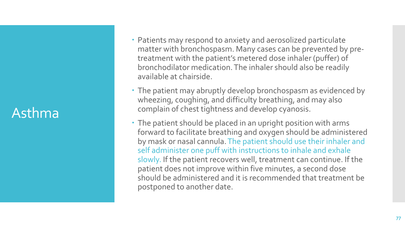#### Asthma

- Patients may respond to anxiety and aerosolized particulate matter with bronchospasm. Many cases can be prevented by pretreatment with the patient's metered dose inhaler (puffer) of bronchodilator medication. The inhaler should also be readily available at chairside.
- The patient may abruptly develop bronchospasm as evidenced by wheezing, coughing, and difficulty breathing, and may also complain of chest tightness and develop cyanosis.
- The patient should be placed in an upright position with arms forward to facilitate breathing and oxygen should be administered by mask or nasal cannula. The patient should use their inhaler and self administer one puff with instructions to inhale and exhale slowly. If the patient recovers well, treatment can continue. If the patient does not improve within five minutes, a second dose should be administered and it is recommended that treatment be postponed to another date.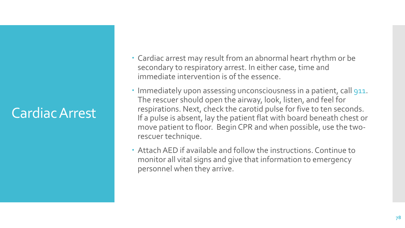## Cardiac Arrest

- Cardiac arrest may result from an abnormal heart rhythm or be secondary to respiratory arrest. In either case, time and immediate intervention is of the essence.
- Immediately upon assessing unconsciousness in a patient, call 911. The rescuer should open the airway, look, listen, and feel for respirations. Next, check the carotid pulse for five to ten seconds. If a pulse is absent, lay the patient flat with board beneath chest or move patient to floor. Begin CPR and when possible, use the tworescuer technique.
- Attach AED if available and follow the instructions. Continue to monitor all vital signs and give that information to emergency personnel when they arrive.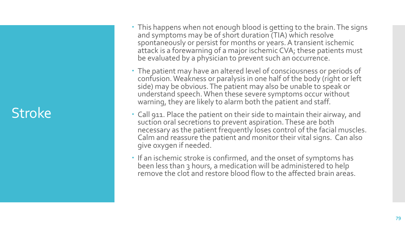### Stroke

- This happens when not enough blood is getting to the brain. The signs and symptoms may be of short duration (TIA) which resolve spontaneously or persist for months or years. A transient ischemic attack is a forewarning of a major ischemic CVA; these patients must be evaluated by a physician to prevent such an occurrence.
- The patient may have an altered level of consciousness or periods of confusion. Weakness or paralysis in one half of the body (right or left side) may be obvious. The patient may also be unable to speak or understand speech. When these severe symptoms occur without warning, they are likely to alarm both the patient and staff.
- Call 911. Place the patient on their side to maintain their airway, and suction oral secretions to prevent aspiration. These are both necessary as the patient frequently loses control of the facial muscles. Calm and reassure the patient and monitor their vital signs. Can also give oxygen if needed.
- If an ischemic stroke is confirmed, and the onset of symptoms has been less than 3 hours, a medication will be administered to help remove the clot and restore blood flow to the affected brain areas.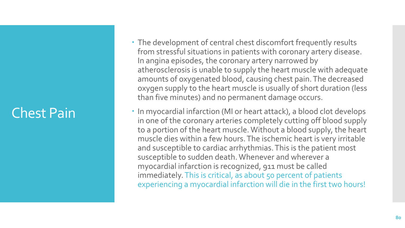### Chest Pain

- The development of central chest discomfort frequently results from stressful situations in patients with coronary artery disease. In angina episodes, the coronary artery narrowed by atherosclerosis is unable to supply the heart muscle with adequate amounts of oxygenated blood, causing chest pain. The decreased oxygen supply to the heart muscle is usually of short duration (less than five minutes) and no permanent damage occurs.
- In myocardial infarction (MI or heart attack), a blood clot develops in one of the coronary arteries completely cutting off blood supply to a portion of the heart muscle. Without a blood supply, the heart muscle dies within a few hours. The ischemic heart is very irritable and susceptible to cardiac arrhythmias. This is the patient most susceptible to sudden death. Whenever and wherever a myocardial infarction is recognized, 911 must be called immediately. This is critical, as about 50 percent of patients experiencing a myocardial infarction will die in the first two hours!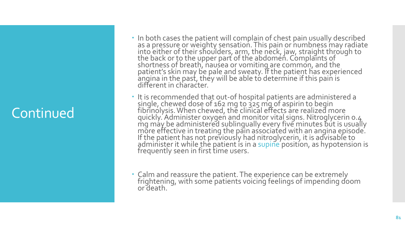- In both cases the patient will complain of chest pain usually described as a pressure or weighty sensation. This pain or numbness may radiate into either of their shoulders, arm, the neck, jaw, straight through to the back or to the upper part of the abdomen. Complaints of shortness of breath, nausea or vomiting are common, and the  $\overline{ }$ patient's skin may be pale and sweaty. If the patient has experienced angina in the past, they will be able to determine if this pain is different in character.
- It is recommended that out-of hospital patients are administered a single, chewed dose of 162 mg to 325 mg of aspirin to begin fibrinolysis. When chewed, the clinical effects are realized more quickly. Administer oxygen and monitor vital signs. Nitroglycerin 0.4  $mg$  má $\gamma$  be administered sublingually every five minutes but is usually more effective in treating the pain associated with an angina episode. If the patient has not previously had nitroglycerin, it is advisable to administer it while the patient is in a supine position, as hypotension is frequently seen in first time users.
- Calm and reassure the patient. The experience can be extremely frightening, with some patients voicing feelings of impending doom or death.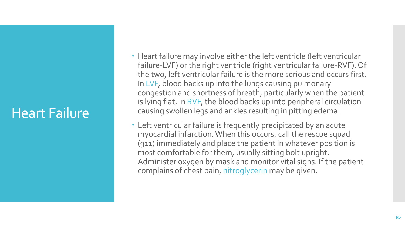### Heart Failure

- Heart failure may involve either the left ventricle (left ventricular failure-LVF) or the right ventricle (right ventricular failure-RVF). Of the two, left ventricular failure is the more serious and occurs first. In LVF, blood backs up into the lungs causing pulmonary congestion and shortness of breath, particularly when the patient is lying flat. In RVF, the blood backs up into peripheral circulation causing swollen legs and ankles resulting in pitting edema.
- Left ventricular failure is frequently precipitated by an acute myocardial infarction. When this occurs, call the rescue squad (911) immediately and place the patient in whatever position is most comfortable for them, usually sitting bolt upright. Administer oxygen by mask and monitor vital signs. If the patient complains of chest pain, nitroglycerin may be given.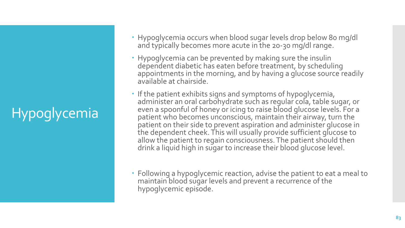# Hypoglycemia

- Hypoglycemia occurs when blood sugar levels drop below 80 mg/dl and typically becomes more acute in the 20-30 mg/dl range.
- Hypoglycemia can be prevented by making sure the insulin dependent diabetic has eaten before treatment, by scheduling appointments in the morning, and by having a glucose source readily available at chairside.
- If the patient exhibits signs and symptoms of hypoglycemia, administer an oral carbohydrate such as regular cola, table sugar, or even a spoonful of honey or icing to raise blood glucose levels. For a patient who becomes unconscious, maintain their airway, turn the patient on their side to prevent aspiration and administer glucose in the dependent cheek. This will usually provide sufficient glucose to allow the patient to regain consciousness. The patient should then drink a liquid high in sugar to increase their blood glucose level.
- Following a hypoglycemic reaction, advise the patient to eat a meal to maintain blood sugar levels and prevent a recurrence of the hypoglycemic episode.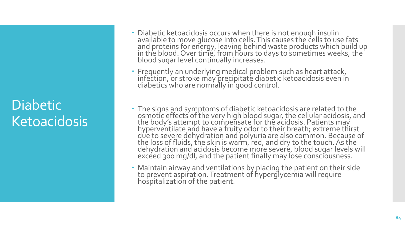### **Diabetic Ketoacidosis**

- Diabetic ketoacidosis occurs when there is not enough insulin available to move glucose into cells. This causes the cells to use fats and proteins for energy, leaving behind waste products which build up in the blood. Over time, from hours to days to sometimes weeks, the  $\,$ blood sugar level continually increases.
- Frequently an underlying medical problem such as heart attack, infection, or stroke may precipitate diabetic ketoacidosis even in diabetics who are normally in good control.
- The signs and symptoms of diabetic ketoacidosis are related to the osmotic effects of the very high blood sugar, the cellular acidosis, and the body's attempt to compensate for the acidosis. Patients may hyperventilate and have a fruity odor to their breath; extreme thirst due to severe dehydration and polyuria are also common. Because of the loss of fluids, the skin is warm, red, and dry to the touch. As the dehydration and acidosis become more severe, blood sugar levels will excéed 300 mg/dl, and the patient finally may lose consciousness.
- Maintain airway and ventilations by placing the patient on their side to prevent aspiration. Treatment of hyperglycemia will require hospitalization of the patient.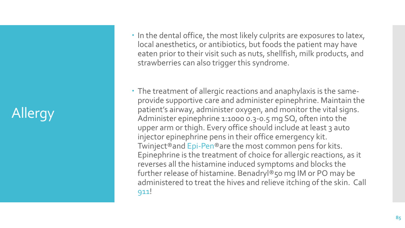# Allergy

- In the dental office, the most likely culprits are exposures to latex, local anesthetics, or antibiotics, but foods the patient may have eaten prior to their visit such as nuts, shellfish, milk products, and strawberries can also trigger this syndrome.
- The treatment of allergic reactions and anaphylaxis is the sameprovide supportive care and administer epinephrine. Maintain the patient's airway, administer oxygen, and monitor the vital signs. Administer epinephrine 1:1000 0.3-0.5 mg SQ, often into the upper arm or thigh. Every office should include at least 3 auto injector epinephrine pens in their office emergency kit. Twinject®and Epi-Pen®are the most common pens for kits. Epinephrine is the treatment of choice for allergic reactions, as it reverses all the histamine induced symptoms and blocks the further release of histamine. Benadryl®50 mg IM or PO may be administered to treat the hives and relieve itching of the skin. Call 911!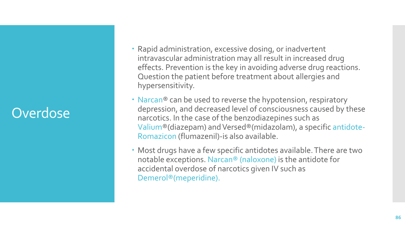## **Overdose**

- Rapid administration, excessive dosing, or inadvertent intravascular administration may all result in increased drug effects. Prevention is the key in avoiding adverse drug reactions. Question the patient before treatment about allergies and hypersensitivity.
- Narcan® can be used to reverse the hypotension, respiratory depression, and decreased level of consciousness caused by these narcotics. In the case of the benzodiazepines such as Valium®(diazepam) and Versed®(midazolam), a specific antidote-Romazicon (flumazenil)-is also available.
- Most drugs have a few specific antidotes available. There are two notable exceptions. Narcan® (naloxone) is the antidote for accidental overdose of narcotics given IV such as Demerol®(meperidine).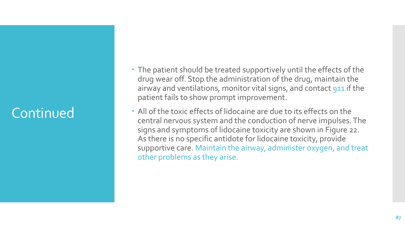- The patient should be treated supportively until the effects of the drug wear off. Stop the administration of the drug, maintain the airway and ventilations, monitor vital signs, and contact 911 if the patient fails to show prompt improvement.
- All of the toxic effects of lidocaine are due to its effects on the central nervous system and the conduction of nerve impulses. The signs and symptoms of lidocaine toxicity are shown in Figure 22. As there is no specific antidote for lidocaine toxicity, provide supportive care. Maintain the airway, administer oxygen, and treat other problems as they arise.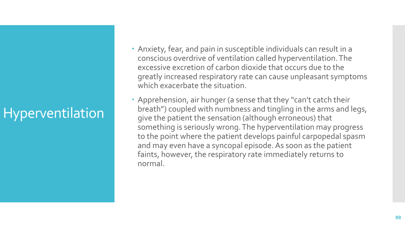# Hyperventilation

- Anxiety, fear, and pain in susceptible individuals can result in a conscious overdrive of ventilation called hyperventilation. The excessive excretion of carbon dioxide that occurs due to the greatly increased respiratory rate can cause unpleasant symptoms which exacerbate the situation.
- Apprehension, air hunger (a sense that they "can't catch their breath") coupled with numbness and tingling in the arms and legs, give the patient the sensation (although erroneous) that something is seriously wrong. The hyperventilation may progress to the point where the patient develops painful carpopedal spasm and may even have a syncopal episode. As soon as the patient faints, however, the respiratory rate immediately returns to normal.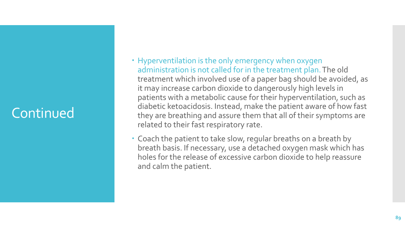- Hyperventilation is the only emergency when oxygen administration is not called for in the treatment plan. The old treatment which involved use of a paper bag should be avoided, as it may increase carbon dioxide to dangerously high levels in patients with a metabolic cause for their hyperventilation, such as diabetic ketoacidosis. Instead, make the patient aware of how fast they are breathing and assure them that all of their symptoms are related to their fast respiratory rate.
- Coach the patient to take slow, regular breaths on a breath by breath basis. If necessary, use a detached oxygen mask which has holes for the release of excessive carbon dioxide to help reassure and calm the patient.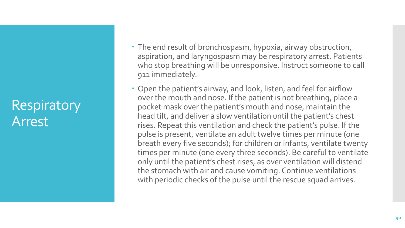### **Respiratory** Arrest

- The end result of bronchospasm, hypoxia, airway obstruction, aspiration, and laryngospasm may be respiratory arrest. Patients who stop breathing will be unresponsive. Instruct someone to call 911 immediately.
- Open the patient's airway, and look, listen, and feel for airflow over the mouth and nose. If the patient is not breathing, place a pocket mask over the patient's mouth and nose, maintain the head tilt, and deliver a slow ventilation until the patient's chest rises. Repeat this ventilation and check the patient's pulse. If the pulse is present, ventilate an adult twelve times per minute (one breath every five seconds); for children or infants, ventilate twenty times per minute (one every three seconds). Be careful to ventilate only until the patient's chest rises, as over ventilation will distend the stomach with air and cause vomiting. Continue ventilations with periodic checks of the pulse until the rescue squad arrives.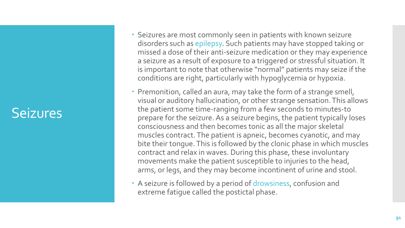#### Seizures

- Seizures are most commonly seen in patients with known seizure disorders such as epilepsy. Such patients may have stopped taking or missed a dose of their anti -seizure medication or they may experience a seizure as a result of exposure to a triggered or stressful situation. It is important to note that otherwise "normal" patients may seize if the conditions are right, particularly with hypoglycemia or hypoxia.
- Premonition, called an aura, may take the form of a strange smell, visual or auditory hallucination, or other strange sensation. This allows the patient some time -ranging from a few seconds to minutes -to prepare for the seizure. As a seizure begins, the patient typically loses consciousness and then becomes tonic as all the major skeletal muscles contract. The patient is apneic, becomes cyanotic, and may bite their tongue. This is followed by the clonic phase in which muscles contract and relax in waves. During this phase, these involuntary movements make the patient susceptible to injuries to the head, arms, or legs, and they may become incontinent of urine and stool.
- A seizure is followed by a period of drowsiness, confusion and extreme fatigue called the postictal phase.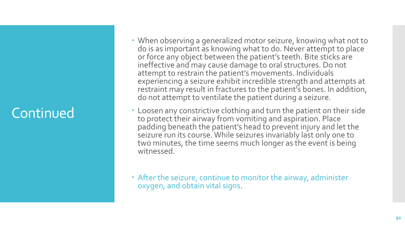- When observing a generalized motor seizure, knowing what not to do is as important as knowing what to do. Never attempt to place or force any object between the patient's teeth. Bite sticks are ineffective and may cause damage to oral structures. Do not attempt to restrain the patient's movements. Individuals experiencing a seizure exhibit incredible strength and attempts at restraint may result in fractures to the patient's bones. In addition, do not attempt to ventilate the patient during a seizure.
- Loosen any constrictive clothing and turn the patient on their side to protect their airway from vomiting and aspiration. Place padding beneath the patient's head to prevent injury and let the seizure run its course. While seizures invariably last only one to two minutes, the time seems much longer as the event is being witnessed.
- After the seizure, continue to monitor the airway, administer oxygen, and obtain vital signs.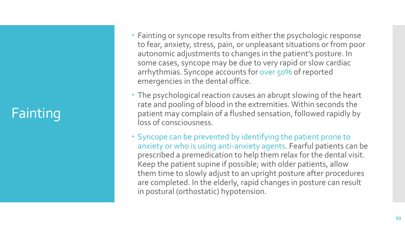# **Fainting**

- Fainting or syncope results from either the psychologic response to fear, anxiety, stress, pain, or unpleasant situations or from poor autonomic adjustments to changes in the patient's posture. In some cases, syncope may be due to very rapid or slow cardiac arrhythmias. Syncope accounts for over 50% of reported emergencies in the dental office.
- The psychological reaction causes an abrupt slowing of the heart rate and pooling of blood in the extremities. Within seconds the patient may complain of a flushed sensation, followed rapidly by loss of consciousness.
- Syncope can be prevented by identifying the patient prone to anxiety or who is using anti -anxiety agents. Fearful patients can be prescribed a premedication to help them relax for the dental visit. Keep the patient supine if possible; with older patients, allow them time to slowly adjust to an upright posture after procedures are completed. In the elderly, rapid changes in posture can result in postural (orthostatic) hypotension.